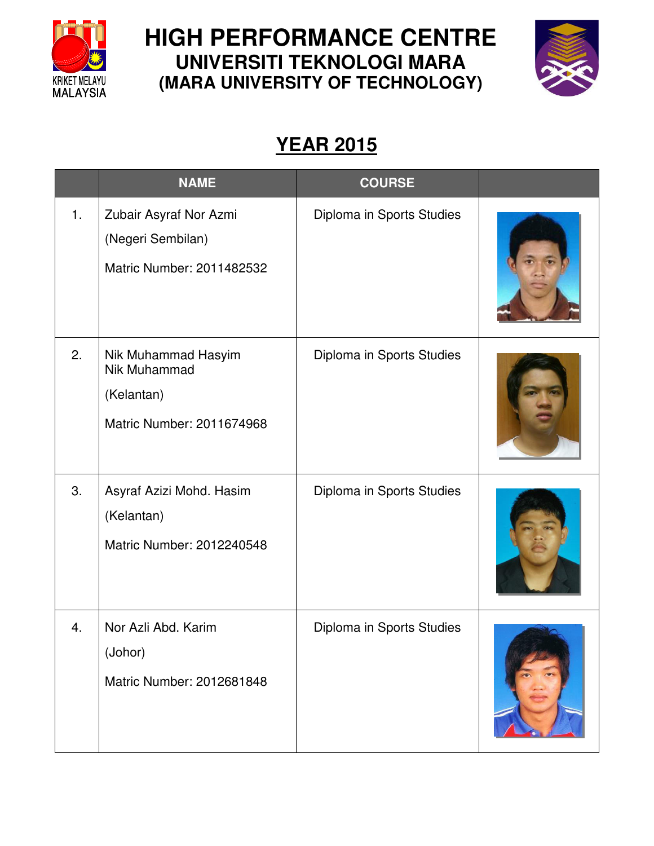

## **HIGH PERFORMANCE CENTRE UNIVERSITI TEKNOLOGI MARA (MARA UNIVERSITY OF TECHNOLOGY)**



## **YEAR 2015**

|    | <b>NAME</b>                                                                    | <b>COURSE</b>             |  |
|----|--------------------------------------------------------------------------------|---------------------------|--|
| 1. | Zubair Asyraf Nor Azmi<br>(Negeri Sembilan)<br>Matric Number: 2011482532       | Diploma in Sports Studies |  |
| 2. | Nik Muhammad Hasyim<br>Nik Muhammad<br>(Kelantan)<br>Matric Number: 2011674968 | Diploma in Sports Studies |  |
| 3. | Asyraf Azizi Mohd. Hasim<br>(Kelantan)<br>Matric Number: 2012240548            | Diploma in Sports Studies |  |
| 4. | Nor Azli Abd. Karim<br>(Johor)<br>Matric Number: 2012681848                    | Diploma in Sports Studies |  |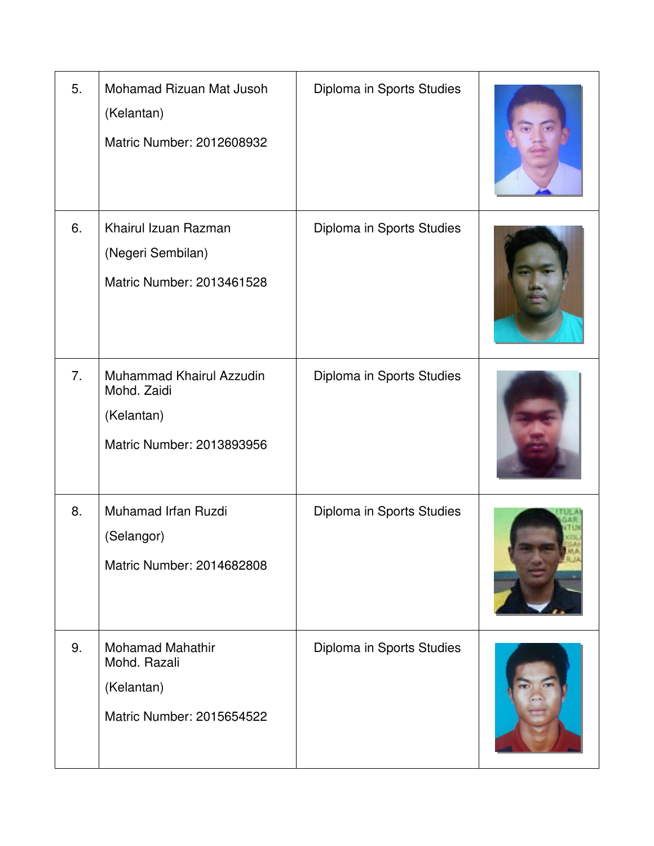| 5. | Mohamad Rizuan Mat Jusoh<br>(Kelantan)<br>Matric Number: 2012608932                | Diploma in Sports Studies |  |
|----|------------------------------------------------------------------------------------|---------------------------|--|
| 6. | Khairul Izuan Razman<br>(Negeri Sembilan)<br>Matric Number: 2013461528             | Diploma in Sports Studies |  |
| 7. | Muhammad Khairul Azzudin<br>Mohd. Zaidi<br>(Kelantan)<br>Matric Number: 2013893956 | Diploma in Sports Studies |  |
| 8. | Muhamad Irfan Ruzdi<br>(Selangor)<br>Matric Number: 2014682808                     | Diploma in Sports Studies |  |
| 9. | <b>Mohamad Mahathir</b><br>Mohd. Razali<br>(Kelantan)<br>Matric Number: 2015654522 | Diploma in Sports Studies |  |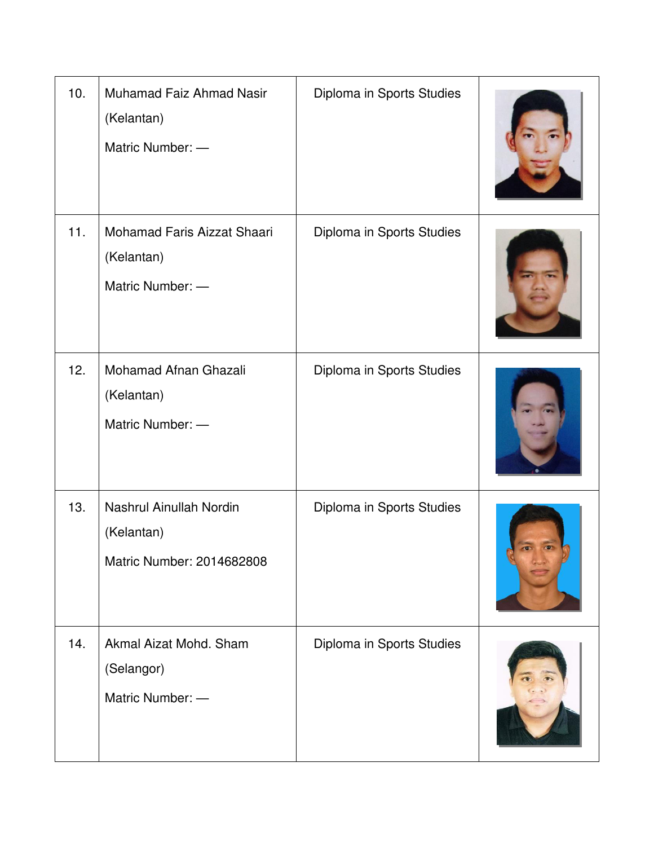| 10. | Muhamad Faiz Ahmad Nasir<br>(Kelantan)<br>Matric Number: -         | Diploma in Sports Studies |  |
|-----|--------------------------------------------------------------------|---------------------------|--|
| 11. | Mohamad Faris Aizzat Shaari<br>(Kelantan)<br>Matric Number: -      | Diploma in Sports Studies |  |
| 12. | Mohamad Afnan Ghazali<br>(Kelantan)<br>Matric Number: -            | Diploma in Sports Studies |  |
| 13. | Nashrul Ainullah Nordin<br>(Kelantan)<br>Matric Number: 2014682808 | Diploma in Sports Studies |  |
| 14. | Akmal Aizat Mohd. Sham<br>(Selangor)<br>Matric Number: -           | Diploma in Sports Studies |  |